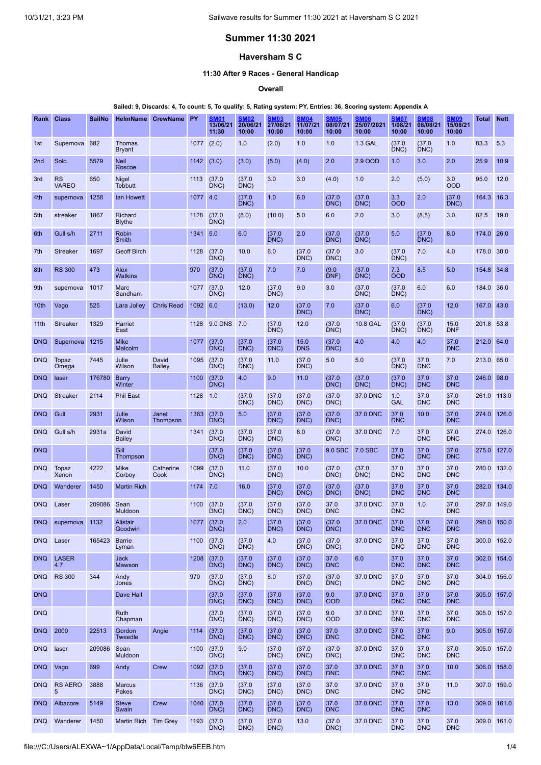# **Summer 11:30 2021**

# **Haversham S C**

### **11:30 After 9 Races - General Handicap**

**Overall**

#### Sailed: 9, Discards: 4, To count: 5, To qualify: 5, Rating system: PY, Entries: 36, Scoring system: Appendix A

| Rank             | <b>Class</b>              | <b>SailNo</b> | HelmName                       | <b>CrewName</b>        | <b>PY</b> | <b>SM01</b><br>13/06/21<br>11:30 | <b>SM02</b><br>20/06/21<br>10:00 | <b>SM03</b><br>27/06/21<br>10:00 | <b>SM04</b><br>11/07/21<br>10:00 | <b>SM05</b><br>08/07/21<br>10:00 | <b>SM06</b><br>25/07/2021<br>10:00 | <b>SM07</b><br>1/08/21<br>10:00 | <b>SM08</b><br>08/08/21<br>10:00 | <b>SM09</b><br>15/08/21<br>10:00 | Total       | <b>Nett</b> |
|------------------|---------------------------|---------------|--------------------------------|------------------------|-----------|----------------------------------|----------------------------------|----------------------------------|----------------------------------|----------------------------------|------------------------------------|---------------------------------|----------------------------------|----------------------------------|-------------|-------------|
| 1st              | Supernova                 | 682           | Thomas<br><b>Bryant</b>        |                        | 1077      | (2.0)                            | 1.0                              | (2.0)                            | 1.0                              | 1.0                              | <b>1.3 GAL</b>                     | (37.0)<br>DNC                   | (37.0)<br>DNC)                   | 1.0                              | 83.3        | 5.3         |
| 2 <sub>nd</sub>  | Solo                      | 5579          | <b>Neil</b><br>Roscoe          |                        | 1142      | (3.0)                            | (3.0)                            | (5.0)                            | (4.0)                            | 2.0                              | 2.9 OOD                            | 1.0                             | 3.0                              | 2.0                              | 25.9        | 10.9        |
| 3rd              | <b>RS</b><br><b>VAREO</b> | 650           | <b>Nigel</b><br><b>Tebbutt</b> |                        | 1113      | (37.0)<br>DNC)                   | (37.0)<br>DNC)                   | 3.0                              | 3.0                              | (4.0)                            | 1.0                                | 2.0                             | (5.0)                            | 3.0<br><b>OOD</b>                | 95.0        | 12.0        |
| 4th              | supernova                 | 1258          | lan Howett                     |                        | 1077      | 4.0                              | (37.0)<br>DNC)                   | 1.0                              | 6.0                              | (37.0)<br>DNC                    | (37.0)<br>DNC)                     | 3.3<br><b>OOD</b>               | 2.0                              | (37.0)<br>DNC                    | 164.3       | 16.3        |
| 5th              | streaker                  | 1867          | Richard<br><b>Blythe</b>       |                        | 1128      | (37.0)<br>DNC)                   | (8.0)                            | (10.0)                           | 5.0                              | 6.0                              | 2.0                                | 3.0                             | (8.5)                            | 3.0                              | 82.5        | 19.0        |
| 6th              | Gull s/h                  | 2711          | Robin<br>Smith                 |                        | 1341      | 5.0                              | 6.0                              | (37.0)<br>DNC)                   | 2.0                              | (37.0)<br>DNC)                   | (37.0)<br>DNC)                     | 5.0                             | (37.0)<br>DNC)                   | 8.0                              | 174.0       | 26.0        |
| 7th              | <b>Streaker</b>           | 1697          | <b>Geoff Birch</b>             |                        | 1128      | (37.0)<br>DNC)                   | 10.0                             | 6.0                              | (37.0)<br>DNC)                   | (37.0)<br>DNC                    | 3.0                                | (37.0)<br>DNC                   | 7.0                              | 4.0                              | 178.0       | 30.0        |
| 8th              | <b>RS 300</b>             | 473           | Alex<br>Watkins                |                        | 970       | (37.0)<br>DNC)                   | (37.0)<br>DNC)                   | 7.0                              | 7.0                              | (9.0)<br>DNF)                    | (37.0)<br>DNC)                     | 7.3<br><b>OOD</b>               | 8.5                              | 5.0                              | 154.8       | 34.8        |
| 9th              | supernova                 | 1017          | Marc<br>Sandham                |                        | 1077      | (37.0)<br>DNC)                   | 12.0                             | (37.0)<br>DNC)                   | 9.0                              | 3.0                              | (37.0)<br>DNC)                     | (37.0)<br>DNC)                  | 6.0                              | 6.0                              | 184.0       | 36.0        |
| 10th             | Vago                      | 525           | Lara Jolley                    | <b>Chris Read</b>      | 1092      | 6.0                              | (13.0)                           | 12.0                             | (37.0)<br>DNC)                   | 7.0                              | (37.0)<br>DNC)                     | 6.0                             | (37.0)<br>DNC)                   | 12.0                             | 167.0       | 43.0        |
| 11 <sup>th</sup> | <b>Streaker</b>           | 1329          | Harriet<br>East                |                        | 1128      | <b>9.0 DNS</b>                   | 7.0                              | (37.0)<br>DNC)                   | 12.0                             | (37.0)<br>DNC)                   | 10.8 GAL                           | (37.0)<br>DNC)                  | (37.0)<br>DNC                    | 15.0<br><b>DNF</b>               | 201.8 53.8  |             |
| <b>DNQ</b>       | Supernova                 | 1215          | <b>Mike</b><br>Malcolm         |                        | 1077      | (37.0)<br>DNC)                   | (37.0)<br>DNC)                   | (37.0)<br>DNC)                   | 15.0<br><b>DNS</b>               | (37.0)<br>DNC)                   | 4.0                                | 4.0                             | 4.0                              | 37.0<br><b>DNC</b>               | 212.0       | 64.0        |
| <b>DNQ</b>       | Topaz<br>Omega            | 7445          | Julie<br>Wilson                | David<br><b>Bailey</b> | 1095      | (37.0)<br>DNC)                   | (37.0)<br>DNC)                   | 11.0                             | (37.0)<br>DNC)                   | 5.0                              | 5.0                                | (37.0)<br>DNC)                  | 37.0<br><b>DNC</b>               | 7.0                              | 213.0       | 65.0        |
| <b>DNQ</b>       | laser                     | 176780        | <b>Barry</b><br>Winter         |                        | 1100      | (37.0)<br>DNC)                   | 4.0                              | 9.0                              | 11.0                             | (37.0)<br>DNC)                   | (37.0)<br>DNC)                     | (37.0)<br>DNC                   | 37.0<br><b>DNC</b>               | 37.0<br><b>DNC</b>               | 246.0       | 98.0        |
| <b>DNQ</b>       | <b>Streaker</b>           | 2114          | <b>Phil East</b>               |                        | 1128      | 1.0                              | (37.0)<br>DNC)                   | (37.0)<br>DNC)                   | (37.0)<br>DNC)                   | (37.0)<br>DNC)                   | 37.0 DNC                           | 1.0<br><b>GAL</b>               | 37.0<br><b>DNC</b>               | 37.0<br><b>DNC</b>               | 261.0       | 113.0       |
| <b>DNQ</b>       | Gull                      | 2931          | Julie<br>Wilson                | Janet<br>Thompson      | 1363      | (37.0)<br>DNC)                   | 5.0                              | (37.0)<br>DNC)                   | (37.0)<br>DNC)                   | (37.0)<br>DNC)                   | 37.0 DNC                           | 37.0<br><b>DNC</b>              | 10.0                             | 37.0<br><b>DNC</b>               | 274.0       | 126.0       |
| <b>DNQ</b>       | Gull s/h                  | 2931a         | David<br><b>Bailey</b>         |                        | 1341      | (37.0)<br>DNC)                   | (37.0)<br>DNC)                   | (37.0)<br>DNC)                   | 8.0                              | (37.0)<br>DNC)                   | 37.0 DNC                           | 7.0                             | 37.0<br><b>DNC</b>               | 37.0<br><b>DNC</b>               | 274.0       | 126.0       |
| <b>DNQ</b>       |                           |               | Gill<br>Thompson               |                        |           | (37.0<br>DNC)                    | (37.0)<br>DNC)                   | (37.0)<br>DNC                    | (37.0)<br>DNC)                   | 9.0 SBC                          | 7.0 SBC                            | 37.0<br><b>DNC</b>              | 37.0<br><b>DNC</b>               | 37.0<br><b>DNC</b>               | 275.0       | 127.0       |
| <b>DNQ</b>       | Topaz<br>Xenon            | 4222          | Mike<br>Corboy                 | Catherine<br>Cook      | 1099      | (37.0)<br>DNC)                   | 11.0                             | (37.0)<br>$\overline{DNC}$       | 10.0                             | (37.0)<br>DNC)                   | (37.0)<br>DNC)                     | 37.0<br><b>DNC</b>              | 37.0<br><b>DNC</b>               | 37.0<br><b>DNC</b>               | 280.0       | 132.0       |
| <b>DNQ</b>       | Wanderer                  | 1450          | <b>Martin Rich</b>             |                        | 1174      | 7.0                              | 16.0                             | (37.0)<br>$DNC$ )                | (37.0)<br>DNC)                   | (37.0)<br>DNC                    | (37.0)<br>DNC)                     | 37.0<br><b>DNC</b>              | 37.0<br><b>DNC</b>               | 37.0<br><b>DNC</b>               | 282.0       | 134.0       |
| <b>DNQ</b>       | Laser                     | 209086        | Sean<br>Muldoon                |                        | 1100      | (37.0)<br>DNC)                   | (37.0)<br>DNC)                   | (37.0)<br>DNC                    | (37.0)<br>DNC)                   | 37.0<br><b>DNC</b>               | 37.0 DNC                           | 37.0<br><b>DNC</b>              | 1.0                              | 37.0<br><b>DNC</b>               | 297.0 149.0 |             |
| <b>DNQ</b>       | supernova 1132            |               | Alistair<br>Goodwin            |                        |           | 1077 (37.0<br>DNC)               | 2.0                              | (37.0)<br>DNC)                   | (37.0)<br>DNC)                   | (37.0)<br>DNC)                   | 37.0 DNC 37.0                      | <b>DNC</b>                      | 37.0<br><b>DNC</b>               | 37.0<br><b>DNC</b>               | 298.0 150.0 |             |
| <b>DNQ</b>       | Laser                     | 165423        | <b>Barrie</b><br>Lyman         |                        | 1100      | (37.0)<br>DNC)                   | (37.0)<br>DNC)                   | 4.0                              | (37.0)<br>DNC)                   | (37.0)<br>DNC)                   | 37.0 DNC                           | 37.0<br><b>DNC</b>              | 37.0<br><b>DNC</b>               | 37.0<br><b>DNC</b>               | 300.0 152.0 |             |
| <b>DNQ</b>       | <b>LASER</b><br>4.7       |               | <b>Jack</b><br>Mawson          |                        | 1208      | (37.0)<br>DNC)                   | (37.0)<br>DNC)                   | (37.0)<br>DNC)                   | (37.0)<br>DNC)                   | 37.0<br><b>DNC</b>               | 6.0                                | 37.0<br><b>DNC</b>              | 37.0<br><b>DNC</b>               | 37.0<br><b>DNC</b>               | 302.0       | 154.0       |
| <b>DNQ</b>       | <b>RS 300</b>             | 344           | Andy<br>Jones                  |                        | 970       | (37.0)<br>DNC)                   | (37.0)<br>DNC)                   | 8.0                              | (37.0)<br>DNC)                   | (37.0)<br>DNC)                   | 37.0 DNC                           | 37.0<br><b>DNC</b>              | 37.0<br><b>DNC</b>               | 37.0<br><b>DNC</b>               | 304.0 156.0 |             |
| <b>DNQ</b>       |                           |               | Dave Hall                      |                        |           | (37.0)<br>DNC)                   | (37.0)<br>DNC)                   | (37.0)<br>DNC)                   | (37.0)<br>DNC)                   | 9.0<br><b>OOD</b>                | 37.0 DNC                           | 37.0<br><b>DNC</b>              | 37.0<br><b>DNC</b>               | 37.0<br><b>DNC</b>               | 305.0 157.0 |             |
| <b>DNQ</b>       |                           |               | Ruth<br>Chapman                |                        |           | (37.0)<br>DNC)                   | (37.0)<br>DNC)                   | (37.0)<br>DNC)                   | (37.0)<br>DNC)                   | 9.0<br><b>OOD</b>                | 37.0 DNC                           | 37.0<br><b>DNC</b>              | 37.0<br><b>DNC</b>               | 37.0<br><b>DNC</b>               | 305.0 157.0 |             |
| <b>DNQ</b>       | 2000                      | 22513         | Gordon<br><b>Tweedle</b>       | Angie                  | 1114      | (37.0)<br>DNC)                   | (37.0)<br>DNC)                   | (37.0)<br>DNC)                   | (37.0)<br>DNC)                   | 37.0<br><b>DNC</b>               | 37.0 DNC                           | 37.0<br><b>DNC</b>              | 37.0<br><b>DNC</b>               | 9.0                              | 305.0       | 157.0       |
| <b>DNQ</b>       | laser                     | 209086        | Sean<br>Muldoon                |                        | 1100      | (37.0)<br>DNC)                   | 9.0                              | (37.0)<br>DNC)                   | (37.0)<br>DNC)                   | (37.0)<br>DNC)                   | 37.0 DNC                           | 37.0<br><b>DNC</b>              | 37.0<br><b>DNC</b>               | 37.0<br><b>DNC</b>               | 305.0 157.0 |             |
| <b>DNQ</b>       | Vago                      | 699           | Andy                           | Crew                   | 1092      | (37.0)<br>DNC)                   | (37.0)<br>DNC)                   | (37.0)<br>DNC)                   | (37.0)<br>DNC)                   | 37.0<br><b>DNC</b>               | 37.0 DNC                           | 37.0<br><b>DNC</b>              | 37.0<br><b>DNC</b>               | 10.0                             | 306.0       | 158.0       |
| <b>DNQ</b>       | <b>RS AERO</b><br>5       | 3888          | <b>Marcus</b><br>Pakes         |                        | 1136      | (37.0)<br>DNC)                   | (37.0)<br>DNC)                   | (37.0)<br>DNC)                   | (37.0)<br>DNC)                   | 37.0<br><b>DNC</b>               | 37.0 DNC                           | 37.0<br><b>DNC</b>              | 37.0<br><b>DNC</b>               | 11.0                             | 307.0 159.0 |             |
| <b>DNQ</b>       | Albacore                  | 5149          | <b>Steve</b><br>Swain          | Crew                   | 1040      | (37.0)<br>DNC)                   | (37.0)<br>DNC)                   | (37.0)<br>DNC)                   | (37.0)<br>DNC)                   | 37.0<br><b>DNC</b>               | 37.0 DNC                           | 37.0<br><b>DNC</b>              | 37.0<br><b>DNC</b>               | 13.0                             | 309.0 161.0 |             |
| <b>DNQ</b>       | Wanderer                  | 1450          | Martin Rich                    | <b>Tim Grey</b>        | 1193      | (37.0)<br>DNC)                   | (37.0)<br>DNC)                   | (37.0)<br>DNC)                   | 13.0                             | (37.0)<br>DNC)                   | 37.0 DNC                           | 37.0<br><b>DNC</b>              | 37.0<br><b>DNC</b>               | 37.0<br><b>DNC</b>               | 309.0 161.0 |             |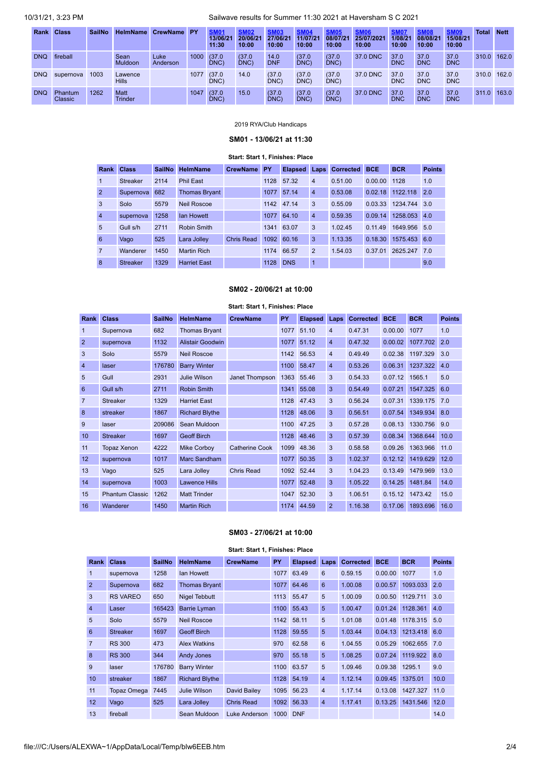10/31/21, 3:23 PM Sailwave results for Summer 11:30 2021 at Haversham S C 2021

| Rank       | <b>Class</b>       | <b>SailNo</b> | <b>HelmName</b>        | <b>CrewName</b>  | <b>PY</b> | <b>SM01</b><br>13/06/2<br>11:30 | <b>SM02</b><br>20/06/21<br>10:00 | <b>SM03</b><br>27/06/21<br>10:00 | 11/07/21<br>10:00 | <b>SM05</b><br>08/07/2<br>10:00 | <b>SM06</b><br>25/07/2021<br>10:00 | <b>SM07</b><br>1/08/21<br>10:00 | <b>SM08</b><br>08/08/21<br>10:00 | <b>SM09</b><br>15/08/21<br>10:00 | Total       | <b>Nett</b> |
|------------|--------------------|---------------|------------------------|------------------|-----------|---------------------------------|----------------------------------|----------------------------------|-------------------|---------------------------------|------------------------------------|---------------------------------|----------------------------------|----------------------------------|-------------|-------------|
| <b>DNQ</b> | fireball           |               | Sean<br>Muldoon        | Luke<br>Anderson | 1000      | (37.0)<br>DNC)                  | (37.0)<br>DNC)                   | 14.0<br><b>DNF</b>               | (37.0<br>DNC)     | (37.0)<br>DNC)                  | 37.0 DNC                           | 37.0<br><b>DNC</b>              | 37.0<br><b>DNC</b>               | 37.0<br><b>DNC</b>               | 310.0       | 162.0       |
| <b>DNQ</b> | supernova          | 1003          | Lawence<br>Hills       |                  | 1077      | (37.0)<br>DNC)                  | 14.0                             | (37.0)<br>DNC)                   | (37.0)<br>DNC)    | (37.0)<br>DNC)                  | 37.0 DNC                           | 37.0<br><b>DNC</b>              | 37.0<br><b>DNC</b>               | 37.0<br><b>DNC</b>               | 310.0 162.0 |             |
| <b>DNQ</b> | Phantum<br>Classic | 1262          | Matt<br><b>Trinder</b> |                  | 1047      | (37.0)<br>DNC)                  | 15.0                             | (37.0)<br>DNC)                   | (37.0)<br>DNC)    | (37.0)<br>DNC)                  | 37.0 DNC                           | 37.0<br><b>DNC</b>              | 37.0<br><b>DNC</b>               | 37.0<br><b>DNC</b>               | 311.0       | 163.0       |

### 2019 RYA/Club Handicaps

# **SM01 - 13/06/21 at 11:30**

### **Start: Start 1, Finishes: Place**

<span id="page-1-0"></span>

| Rank            | <b>Class</b>    | <b>SailNo</b> | <b>HelmName</b>      | <b>CrewName</b>   | PY   | <b>Elapsed</b> | Laps           | <b>Corrected</b> | <b>BCE</b> | <b>BCR</b> | <b>Points</b> |
|-----------------|-----------------|---------------|----------------------|-------------------|------|----------------|----------------|------------------|------------|------------|---------------|
| $\mathbf{1}$    | <b>Streaker</b> | 2114          | <b>Phil East</b>     |                   |      | 1128 57.32     | $\overline{4}$ | 0.51.00          | 0.00.00    | 1128       | 1.0           |
| $\overline{2}$  | Supernova       | 682           | <b>Thomas Bryant</b> |                   | 1077 | 57.14          | $\overline{4}$ | 0.53.08          | 0.02.18    | 1122.118   | 2.0           |
| 3               | Solo            | 5579          | <b>Neil Roscoe</b>   |                   |      | 1142 47.14     | 3              | 0.55.09          | 0.03.33    | 1234.744   | 3.0           |
| $\overline{4}$  | supernova       | 1258          | lan Howett           |                   | 1077 | 64.10          | $\overline{4}$ | 0.59.35          | 0.09.14    | 1258.053   | 4.0           |
| $5\overline{)}$ | Gull s/h        | 2711          | Robin Smith          |                   |      | 1341 63.07     | 3              | 1.02.45          | 0.11.49    | 1649.956   | 5.0           |
| 6               | Vago            | 525           | Lara Jolley          | <b>Chris Read</b> | 1092 | 60.16          | 3              | 1.13.35          | 0.18.30    | 1575.453   | 6.0           |
| $\overline{7}$  | Wanderer        | 1450          | <b>Martin Rich</b>   |                   | 1174 | 66.57          | $\overline{2}$ | 1.54.03          | 0.37.01    | 2625.247   | 7.0           |
| 8               | <b>Streaker</b> | 1329          | <b>Harriet East</b>  |                   | 1128 | <b>DNS</b>     | 1              |                  |            |            | 9.0           |

## **SM02 - 20/06/21 at 10:00**

<span id="page-1-1"></span>

|                |                        |               |                       | Start: Start 1, Finishes: Place |      |                |                         |                  |            |            |               |
|----------------|------------------------|---------------|-----------------------|---------------------------------|------|----------------|-------------------------|------------------|------------|------------|---------------|
| Rank           | <b>Class</b>           | <b>SailNo</b> | <b>HelmName</b>       | <b>CrewName</b>                 | PY   | <b>Elapsed</b> | Laps                    | <b>Corrected</b> | <b>BCE</b> | <b>BCR</b> | <b>Points</b> |
| 1              | Supernova              | 682           | <b>Thomas Brvant</b>  |                                 | 1077 | 51.10          | $\overline{\mathbf{4}}$ | 0.47.31          | 0.00.00    | 1077       | 1.0           |
| $\overline{2}$ | supernova              | 1132          | Alistair Goodwin      |                                 | 1077 | 51.12          | $\overline{4}$          | 0.47.32          | 0.00.02    | 1077.702   | 2.0           |
| 3              | Solo                   | 5579          | <b>Neil Roscoe</b>    |                                 | 1142 | 56.53          | $\overline{4}$          | 0.49.49          | 0.02.38    | 1197.329   | 3.0           |
| $\overline{4}$ | laser                  | 176780        | <b>Barry Winter</b>   |                                 | 1100 | 58.47          | $\overline{4}$          | 0.53.26          | 0.06.31    | 1237.322   | 4.0           |
| 5              | Gull                   | 2931          | <b>Julie Wilson</b>   | Janet Thompson                  | 1363 | 55.46          | 3                       | 0.54.33          | 0.07.12    | 1565.1     | 5.0           |
| 6              | Gull s/h               | 2711          | Robin Smith           |                                 | 1341 | 55.08          | 3                       | 0.54.49          | 0.07.21    | 1547.325   | 6.0           |
| $\overline{7}$ | <b>Streaker</b>        | 1329          | <b>Harriet East</b>   |                                 | 1128 | 47.43          | 3                       | 0.56.24          | 0.07.31    | 1339.175   | 7.0           |
| 8              | streaker               | 1867          | <b>Richard Blythe</b> |                                 | 1128 | 48.06          | 3                       | 0.56.51          | 0.07.54    | 1349.934   | 8.0           |
| 9              | laser                  | 209086        | Sean Muldoon          |                                 | 1100 | 47.25          | 3                       | 0.57.28          | 0.08.13    | 1330.756   | 9.0           |
| 10             | <b>Streaker</b>        | 1697          | <b>Geoff Birch</b>    |                                 | 1128 | 48.46          | 3                       | 0.57.39          | 0.08.34    | 1368.644   | 10.0          |
| 11             | Topaz Xenon            | 4222          | <b>Mike Corbov</b>    | <b>Catherine Cook</b>           | 1099 | 48.36          | 3                       | 0.58.58          | 0.09.26    | 1363.966   | 11.0          |
| 12             | supernova              | 1017          | Marc Sandham          |                                 | 1077 | 50.35          | 3                       | 1.02.37          | 0.12.12    | 1419.629   | 12.0          |
| 13             | Vago                   | 525           | Lara Jolley           | <b>Chris Read</b>               | 1092 | 52.44          | 3                       | 1.04.23          | 0.13.49    | 1479.969   | 13.0          |
| 14             | supernova              | 1003          | <b>Lawence Hills</b>  |                                 | 1077 | 52.48          | 3                       | 1.05.22          | 0.14.25    | 1481.84    | 14.0          |
| 15             | <b>Phantum Classic</b> | 1262          | <b>Matt Trinder</b>   |                                 | 1047 | 52.30          | 3                       | 1.06.51          | 0.15.12    | 1473.42    | 15.0          |
| 16             | Wanderer               | 1450          | <b>Martin Rich</b>    |                                 | 1174 | 44.59          | $\overline{2}$          | 1.16.38          | 0.17.06    | 1893.696   | 16.0          |

#### **SM03 - 27/06/21 at 10:00**

**Start: Start 1, Finishes: Place**

<span id="page-1-2"></span>

| Rank            | <b>Class</b>    | <b>SailNo</b> | <b>HelmName</b>       | <b>CrewName</b>   | <b>PY</b> | <b>Elapsed Laps</b> |                | <b>Corrected</b> | <b>BCE</b> | <b>BCR</b> | <b>Points</b> |
|-----------------|-----------------|---------------|-----------------------|-------------------|-----------|---------------------|----------------|------------------|------------|------------|---------------|
| 1               | supernova       | 1258          | lan Howett            |                   | 1077      | 63.49               | 6              | 0.59.15          | 0.00.00    | 1077       | 1.0           |
| $\overline{2}$  | Supernova       | 682           | <b>Thomas Bryant</b>  |                   | 1077      | 64.46               | 6              | 1.00.08          | 0.00.57    | 1093.033   | 2.0           |
| 3               | <b>RS VAREO</b> | 650           | <b>Nigel Tebbutt</b>  |                   | 1113      | 55.47               | 5              | 1.00.09          | 0.00.50    | 1129.711   | 3.0           |
| $\overline{4}$  | Laser           | 165423        | <b>Barrie Lyman</b>   |                   | 1100      | 55.43               | 5              | 1.00.47          | 0.01.24    | 1128.361   | 4.0           |
| 5               | Solo            | 5579          | <b>Neil Roscoe</b>    |                   | 1142      | 58.11               | 5              | 1.01.08          | 0.01.48    | 1178.315   | 5.0           |
| 6               | <b>Streaker</b> | 1697          | <b>Geoff Birch</b>    |                   | 1128      | 59.55               | 5              | 1.03.44          | 0.04.13    | 1213.418   | 6.0           |
| $\overline{7}$  | <b>RS 300</b>   | 473           | <b>Alex Watkins</b>   |                   | 970       | 62.58               | 6              | 1.04.55          | 0.05.29    | 1062.655   | 7.0           |
| 8               | <b>RS 300</b>   | 344           | <b>Andy Jones</b>     |                   | 970       | 55.18               | 5              | 1.08.25          | 0.07.24    | 1119.922   | 8.0           |
| 9               | laser           | 176780        | <b>Barry Winter</b>   |                   | 1100      | 63.57               | 5              | 1.09.46          | 0.09.38    | 1295.1     | 9.0           |
| 10 <sup>°</sup> | streaker        | 1867          | <b>Richard Blythe</b> |                   | 1128      | 54.19               | $\overline{4}$ | 1.12.14          | 0.09.45    | 1375.01    | 10.0          |
| 11              | Topaz Omega     | 7445          | Julie Wilson          | David Bailev      | 1095      | 56.23               | $\overline{4}$ | 1.17.14          | 0.13.08    | 1427.327   | 11.0          |
| 12              | Vago            | 525           | Lara Jolley           | <b>Chris Read</b> | 1092      | 56.33               | $\overline{4}$ | 1.17.41          | 0.13.25    | 1431.546   | 12.0          |
| 13              | fireball        |               | Sean Muldoon          | Luke Anderson     | 1000      | <b>DNF</b>          |                |                  |            |            | 14.0          |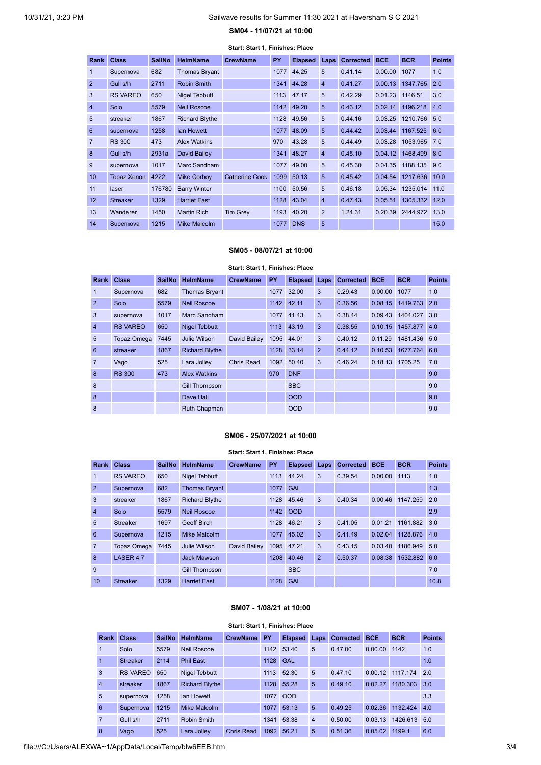# **SM04 - 11/07/21 at 10:00 Start: Start 1, Finishes: Place**

<span id="page-2-0"></span>

| Rank             | <b>Class</b>       | <b>SailNo</b> | <b>HelmName</b>       | <b>CrewName</b>       | <b>PY</b> | <b>Elapsed</b> | Laps           | <b>Corrected</b> | <b>BCE</b>      | <b>BCR</b>       | <b>Points</b> |
|------------------|--------------------|---------------|-----------------------|-----------------------|-----------|----------------|----------------|------------------|-----------------|------------------|---------------|
| 1                | Supernova          | 682           | <b>Thomas Bryant</b>  |                       | 1077      | 44.25          | 5              | 0.41.14          | 0.00.00         | 1077             | 1.0           |
| $\overline{2}$   | Gull s/h           | 2711          | Robin Smith           |                       | 1341      | 44.28          | $\overline{4}$ | 0.41.27          | 0.00.13         | 1347.765         | 2.0           |
| 3                | <b>RS VAREO</b>    | 650           | Nigel Tebbutt         |                       | 1113      | 47.17          | 5              | 0.42.29          | 0.01.23 1146.51 |                  | 3.0           |
| $\overline{4}$   | Solo               | 5579          | <b>Neil Roscoe</b>    |                       | 1142      | 49.20          | 5              | 0.43.12          |                 | 0.02.14 1196.218 | 4.0           |
| 5                | streaker           | 1867          | <b>Richard Blythe</b> |                       | 1128      | 49.56          | 5              | 0.44.16          | 0.03.25         | 1210.766         | 5.0           |
| 6                | supernova          | 1258          | lan Howett            |                       | 1077      | 48.09          | 5              | 0.44.42          |                 | 0.03.44 1167.525 | 6.0           |
| $\overline{7}$   | <b>RS 300</b>      | 473           | <b>Alex Watkins</b>   |                       | 970       | 43.28          | 5              | 0.44.49          | 0.03.28         | 1053.965         | 7.0           |
| 8                | Gull s/h           | 2931a         | David Bailey          |                       | 1341      | 48.27          | $\overline{4}$ | 0.45.10          |                 | 0.04.12 1468.499 | 8.0           |
| 9                | supernova          | 1017          | Marc Sandham          |                       | 1077      | 49.00          | 5              | 0.45.30          | 0.04.35         | 1188.135         | 9.0           |
| 10 <sup>10</sup> | <b>Topaz Xenon</b> | 4222          | Mike Corboy           | <b>Catherine Cook</b> | 1099      | 50.13          | 5              | 0.45.42          |                 | 0.04.54 1217.636 | 10.0          |
| 11               | laser              | 176780        | <b>Barry Winter</b>   |                       | 1100      | 50.56          | 5              | 0.46.18          | 0.05.34         | 1235.014         | 11.0          |
| 12               | <b>Streaker</b>    | 1329          | <b>Harriet East</b>   |                       | 1128      | 43.04          | $\overline{4}$ | 0.47.43          | 0.05.51         | 1305.332         | 12.0          |
| 13               | Wanderer           | 1450          | <b>Martin Rich</b>    | <b>Tim Grey</b>       | 1193      | 40.20          | $\overline{2}$ | 1.24.31          | 0.20.39         | 2444.972         | 13.0          |
| 14               | Supernova          | 1215          | Mike Malcolm          |                       | 1077      | <b>DNS</b>     | 5              |                  |                 |                  | 15.0          |

#### **SM05 - 08/07/21 at 10:00**

#### **Start: Start 1, Finishes: Place**

<span id="page-2-1"></span>

| <b>Rank</b>    | <b>Class</b>    | <b>SailNo</b> | <b>HelmName</b>       | <b>CrewName</b> | PY   | <b>Elapsed</b> | Laps           | <b>Corrected</b> | <b>BCE</b> | <b>BCR</b>      | <b>Points</b> |
|----------------|-----------------|---------------|-----------------------|-----------------|------|----------------|----------------|------------------|------------|-----------------|---------------|
| 1              | Supernova       | 682           | <b>Thomas Bryant</b>  |                 |      | 1077 32.00     | 3              | 0.29.43          | 0.00.00    | 1077            | 1.0           |
| $\overline{2}$ | Solo            | 5579          | <b>Neil Roscoe</b>    |                 | 1142 | 42.11          | 3              | 0.36.56          | 0.08.15    | 1419.733        | 2.0           |
| 3              | supernova       | 1017          | Marc Sandham          |                 | 1077 | 41.43          | 3              | 0.38.44          | 0.09.43    | 1404.027        | 3.0           |
| $\overline{4}$ | <b>RS VAREO</b> | 650           | <b>Nigel Tebbutt</b>  |                 | 1113 | 43.19          | 3              | 0.38.55          | 0.10.15    | 1457.877        | 4.0           |
| 5              | Topaz Omega     | 7445          | Julie Wilson          | David Bailey    |      | 1095 44.01     | 3              | 0.40.12          | 0.11.29    | 1481.436        | 5.0           |
| 6              | streaker        | 1867          | <b>Richard Blythe</b> |                 | 1128 | 33.14          | $\overline{2}$ | 0.44.12          | 0.10.53    | 1677.764        | 6.0           |
| $\overline{7}$ | Vago            | 525           | Lara Jollev           | Chris Read      |      | 1092 50.40     | 3              | 0.46.24          |            | 0.18.13 1705.25 | 7.0           |
| 8              | <b>RS 300</b>   | 473           | <b>Alex Watkins</b>   |                 | 970  | <b>DNF</b>     |                |                  |            |                 | 9.0           |
| 8              |                 |               | <b>Gill Thompson</b>  |                 |      | <b>SBC</b>     |                |                  |            |                 | 9.0           |
| 8              |                 |               | Dave Hall             |                 |      | <b>OOD</b>     |                |                  |            |                 | 9.0           |
| 8              |                 |               | <b>Ruth Chapman</b>   |                 |      | <b>OOD</b>     |                |                  |            |                 | 9.0           |

### **SM06 - 25/07/2021 at 10:00**

### **Start: Start 1, Finishes: Place**

<span id="page-2-2"></span>

| Rank           | <b>Class</b>       | <b>SailNo</b> | <b>HelmName</b>       | <b>CrewName</b> | PY   | <b>Elapsed</b> | Laps           | <b>Corrected</b> | <b>BCE</b> | <b>BCR</b> | <b>Points</b> |
|----------------|--------------------|---------------|-----------------------|-----------------|------|----------------|----------------|------------------|------------|------------|---------------|
| 1              | <b>RS VAREO</b>    | 650           | <b>Nigel Tebbutt</b>  |                 | 1113 | 44.24          | 3              | 0.39.54          | 0.00.00    | 1113       | 1.0           |
| $\overline{2}$ | Supernova          | 682           | <b>Thomas Bryant</b>  |                 | 1077 | <b>GAL</b>     |                |                  |            |            | 1.3           |
| 3              | streaker           | 1867          | <b>Richard Blythe</b> |                 |      | 1128 45.46     | 3              | 0.40.34          | 0.00.46    | 1147.259   | 2.0           |
| $\overline{4}$ | Solo               | 5579          | <b>Neil Roscoe</b>    |                 | 1142 | <b>OOD</b>     |                |                  |            |            | 2.9           |
| 5              | <b>Streaker</b>    | 1697          | Geoff Birch           |                 | 1128 | 46.21          | 3              | 0.41.05          | 0.01.21    | 1161.882   | 3.0           |
| 6              | Supernova          | 1215          | <b>Mike Malcolm</b>   |                 | 1077 | 45.02          | 3              | 0.41.49          | 0.02.04    | 1128.876   | 4.0           |
| $\overline{7}$ | <b>Topaz Omega</b> | 7445          | Julie Wilson          | David Bailey    |      | 1095 47.21     | 3              | 0.43.15          | 0.03.40    | 1186.949   | 5.0           |
| 8              | LASER 4.7          |               | <b>Jack Mawson</b>    |                 | 1208 | 40.46          | $\overline{2}$ | 0.50.37          | 0.08.38    | 1532.882   | 6.0           |
| 9              |                    |               | <b>Gill Thompson</b>  |                 |      | <b>SBC</b>     |                |                  |            |            | 7.0           |
| 10             | <b>Streaker</b>    | 1329          | <b>Harriet East</b>   |                 | 1128 | GAL            |                |                  |            |            | 10.8          |

#### **SM07 - 1/08/21 at 10:00**

#### **Start: Start 1, Finishes: Place**

<span id="page-2-3"></span>

| Rank           | <b>Class</b>    | <b>SailNo</b> | <b>HelmName</b>       | <b>CrewName</b>   | PY   | <b>Elapsed</b> | Laps            | <b>Corrected</b> | <b>BCE</b>     | <b>BCR</b> | <b>Points</b> |
|----------------|-----------------|---------------|-----------------------|-------------------|------|----------------|-----------------|------------------|----------------|------------|---------------|
| 1              | Solo            | 5579          | <b>Neil Roscoe</b>    |                   |      | 1142 53.40     | 5               | 0.47.00          | $0.00.00$ 1142 |            | 1.0           |
| 1              | <b>Streaker</b> | 2114          | <b>Phil East</b>      |                   | 1128 | GAL            |                 |                  |                |            | 1.0           |
| 3              | <b>RS VAREO</b> | 650           | Nigel Tebbutt         |                   | 1113 | 52.30          | 5               | 0.47.10          | 0.00.12        | 1117 174   | 2.0           |
| $\overline{4}$ | streaker        | 1867          | <b>Richard Blythe</b> |                   | 1128 | 55.28          | $5\phantom{.0}$ | 0.49.10          | 0.02.27        | 1180.303   | 3.0           |
| 5              | supernova       | 1258          | lan Howett            |                   |      | 1077 OOD       |                 |                  |                |            | 3.3           |
| 6              | Supernova       | 1215          | <b>Mike Malcolm</b>   |                   |      | 1077 53.13     | $5\overline{5}$ | 0.49.25          | 0.02.36        | 1132.424   | 4.0           |
| $\overline{7}$ | Gull s/h        | 2711          | Robin Smith           |                   | 1341 | 53.38          | $\overline{4}$  | 0.50.00          | 0.03.13        | 1426.613   | 5.0           |
| 8              | Vago            | 525           | Lara Jollev           | <b>Chris Read</b> | 1092 | 56.21          | $5\phantom{.0}$ | 0.51.36          | 0.05.02        | 1199.1     | 6.0           |

file:///C:/Users/ALEXWA~1/AppData/Local/Temp/blw6EEB.htm 3/4